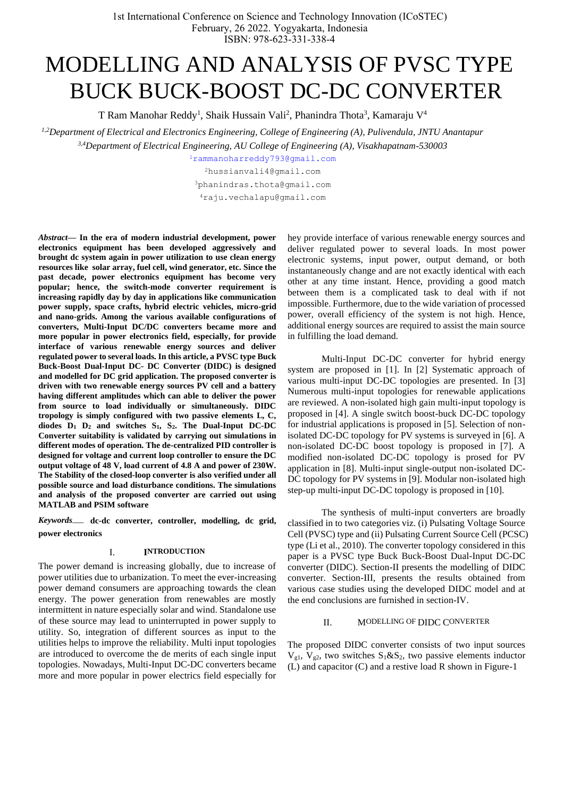# MODELLING AND ANALYSIS OF PVSC TYPE BUCK BUCK-BOOST DC-DC CONVERTER

T Ram Manohar Reddy<sup>1</sup>, Shaik Hussain Vali<sup>2</sup>, Phanindra Thota<sup>3</sup>, Kamaraju V<sup>4</sup>

*1,2Department of Electrical and Electronics Engineering, College of Engineering (A), Pulivendula, JNTU Anantapur 3,4Department of Electrical Engineering, AU College of Engineering (A), Visakhapatnam-530003*

<sup>1</sup>[r](mailto:1first.author@first-third.edu)ammanoharreddy793@gmail.com <sup>2</sup>hussianvali4@gmail.com

<sup>3</sup>phanindras.thota@gmail.com

<sup>4</sup>raju.vechalapu@gmail.com

*Abstract***— In the era of modern industrial development, power electronics equipment has been developed aggressively and brought dc system again in power utilization to use clean energy resources like solar array, fuel cell, wind generator, etc. Since the past decade, power electronics equipment has become very popular; hence, the switch-mode converter requirement is increasing rapidly day by day in applications like communication power supply, space crafts, hybrid electric vehicles, micro-grid and nano-grids. Among the various available configurations of converters, Multi-Input DC/DC converters became more and more popular in power electronics field, especially, for provide interface of various renewable energy sources and deliver regulated power to several loads. In this article, a PVSC type Buck Buck-Boost Dual-Input DC- DC Converter (DIDC) is designed and modelled for DC grid application. The proposed converter is driven with two renewable energy sources PV cell and a battery having different amplitudes which can able to deliver the power from source to load individually or simultaneously. DIDC tropology is simply configured with two passive elements L, C, diodes D<sup>1</sup> D<sup>2</sup> and switches S1, S2. The Dual-Input DC-DC Converter suitability is validated by carrying out simulations in different modes of operation. The de-centralized PID controller is designed for voltage and current loop controller to ensure the DC output voltage of 48 V, load current of 4.8 A and power of 230W. The Stability of the closed-loop converter is also verified under all possible source and load disturbance conditions. The simulations and analysis of the proposed converter are carried out using MATLAB and PSIM software**

*Keywords*— **dc-dc converter, controller, modelling, dc grid, power electronics**

# I. **INTRODUCTION**

The power demand is increasing globally, due to increase of power utilities due to urbanization. To meet the ever-increasing power demand consumers are approaching towards the clean energy. The power generation from renewables are mostly intermittent in nature especially solar and wind. Standalone use of these source may lead to uninterrupted in power supply to utility. So, integration of different sources as input to the utilities helps to improve the reliability. Multi input topologies are introduced to overcome the de merits of each single input topologies. Nowadays, Multi-Input DC-DC converters became more and more popular in power electrics field especially for

hey provide interface of various renewable energy sources and deliver regulated power to several loads. In most power electronic systems, input power, output demand, or both instantaneously change and are not exactly identical with each other at any time instant. Hence, providing a good match between them is a complicated task to deal with if not impossible. Furthermore, due to the wide variation of processed power, overall efficiency of the system is not high. Hence, additional energy sources are required to assist the main source in fulfilling the load demand.

Multi-Input DC-DC converter for hybrid energy system are proposed in [1]. In [2] Systematic approach of various multi-input DC-DC topologies are presented. In [3] Numerous multi-input topologies for renewable applications are reviewed. A non-isolated high gain multi-input topology is proposed in [4]. A single switch boost-buck DC-DC topology for industrial applications is proposed in [5]. Selection of nonisolated DC-DC topology for PV systems is surveyed in [6]. A non-isolated DC-DC boost topology is proposed in [7]. A modified non-isolated DC-DC topology is prosed for PV application in [8]. Multi-input single-output non-isolated DC-DC topology for PV systems in [9]. Modular non-isolated high step-up multi-input DC-DC topology is proposed in [10].

The synthesis of multi-input converters are broadly classified in to two categories viz. (i) Pulsating Voltage Source Cell (PVSC) type and (ii) Pulsating Current Source Cell (PCSC) type (Li et al., 2010). The converter topology considered in this paper is a PVSC type Buck Buck-Boost Dual-Input DC-DC converter (DIDC). Section-II presents the modelling of DIDC converter. Section-III, presents the results obtained from various case studies using the developed DIDC model and at the end conclusions are furnished in section-IV.

## II. MODELLING OF DIDC CONVERTER

The proposed DIDC converter consists of two input sources  $V_{g1}$ ,  $V_{g2}$ , two switches  $S_1 \& S_2$ , two passive elements inductor (L) and capacitor (C) and a restive load R shown in Figure-1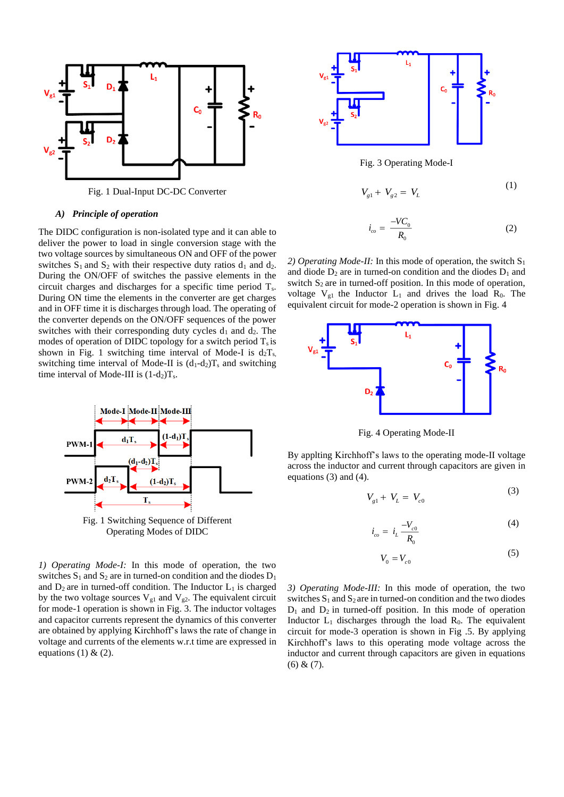

Fig. 1 Dual-Input DC-DC Converter

# *A) Principle of operation*

The DIDC configuration is non-isolated type and it can able to deliver the power to load in single conversion stage with the two voltage sources by simultaneous ON and OFF of the power switches  $S_1$  and  $S_2$  with their respective duty ratios  $d_1$  and  $d_2$ . During the ON/OFF of switches the passive elements in the circuit charges and discharges for a specific time period  $T_s$ . During ON time the elements in the converter are get charges and in OFF time it is discharges through load. The operating of the converter depends on the ON/OFF sequences of the power switches with their corresponding duty cycles  $d_1$  and  $d_2$ . The modes of operation of DIDC topology for a switch period  $T_s$  is shown in Fig. 1 switching time interval of Mode-I is  $d_2T_s$ , switching time interval of Mode-II is  $(d_1-d_2)T_s$  and switching time interval of Mode-III is  $(1-d_2)T_s$ .



Fig. 1 Switching Sequence of Different Operating Modes of DIDC

*1) Operating Mode-I:* In this mode of operation, the two switches  $S_1$  and  $S_2$  are in turned-on condition and the diodes  $D_1$ and  $D_2$  are in turned-off condition. The Inductor  $L_1$  is charged by the two voltage sources  $V_{g1}$  and  $V_{g2}$ . The equivalent circuit for mode-1 operation is shown in Fig. 3. The inductor voltages and capacitor currents represent the dynamics of this converter are obtained by applying Kirchhoff's laws the rate of change in voltage and currents of the elements w.r.t time are expressed in equations (1)  $& (2)$ .



Fig. 3 Operating Mode-I

$$
V_{g1} + V_{g2} = V_L \tag{1}
$$

$$
i_{co} = \frac{-V C_0}{R_0} \tag{2}
$$

2) Operating Mode-II: In this mode of operation, the switch  $S_1$ and diode  $D_2$  are in turned-on condition and the diodes  $D_1$  and switch  $S_2$  are in turned-off position. In this mode of operation, voltage  $V_{g1}$  the Inductor  $L_1$  and drives the load  $R_0$ . The equivalent circuit for mode-2 operation is shown in Fig. 4



Fig. 4 Operating Mode-II

By applting Kirchhoff's laws to the operating mode-II voltage across the inductor and current through capacitors are given in equations (3) and (4).

$$
V_{g1} + V_L = V_{c0} \tag{3}
$$

$$
i_{co} = i_L \frac{-V_{c0}}{R_c}
$$
 (4)

$$
V_0 = V_{c0} \tag{5}
$$

*3) Operating Mode-III:* In this mode of operation, the two switches  $S_1$  and  $S_2$  are in turned-on condition and the two diodes  $D_1$  and  $D_2$  in turned-off position. In this mode of operation Inductor  $L_1$  discharges through the load  $R_0$ . The equivalent circuit for mode-3 operation is shown in Fig .5. By applying Kirchhoff's laws to this operating mode voltage across the inductor and current through capacitors are given in equations  $(6) & (7)$ .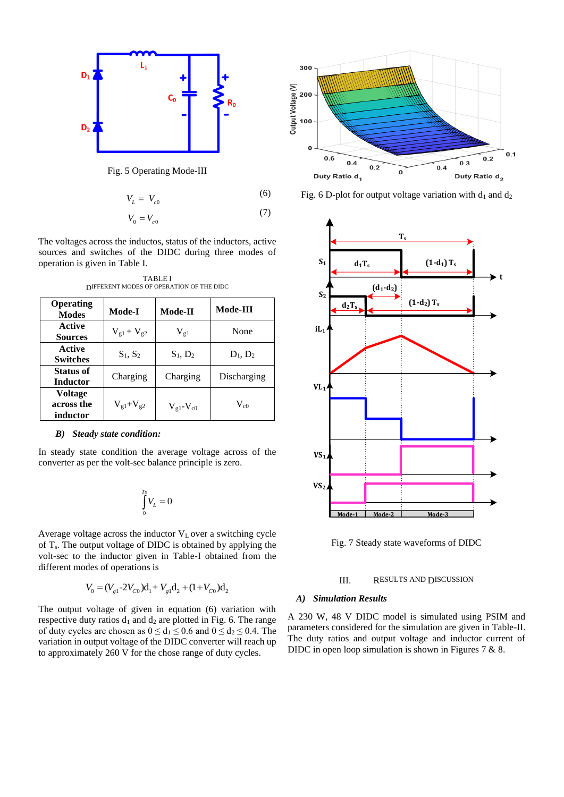

Fig. 5 Operating Mode-III

$$
V_L = V_{c0} \tag{6}
$$

$$
V_0 = V_{c0} \tag{7}
$$

The voltages across the inductos, status of the inductors, active sources and switches of the DIDC during three modes of operation is given in Table I.

| Operating<br><b>Modes</b>         | <b>Mode-I</b>     | Mode-II                     | Mode-III    |
|-----------------------------------|-------------------|-----------------------------|-------------|
| Active<br><b>Sources</b>          | $V_{g1} + V_{g2}$ | $\rm V_{g1}$                | None        |
| Active<br><b>Switches</b>         | $S_1, S_2$        | $S_1, D_2$                  | $D_1, D_2$  |
| <b>Status of</b><br>Inductor      | Charging          | Charging                    | Discharging |
| Voltage<br>across the<br>inductor | $V_{g1} + V_{g2}$ | $V_{\rm gl}$ - $V_{\rm c0}$ | $V_{c0}$    |

TABLE I DIFFERENT MODES OF OPERATION OF THE DIDC

## *B) Steady state condition:*

In steady state condition the average voltage across of the converter as per the volt-sec balance principle is zero.

$$
\int_{0}^{T_s} V_L = 0
$$

Average voltage across the inductor  $V<sub>L</sub>$  over a switching cycle of  $T_s$ . The output voltage of DIDC is obtained by applying the volt-sec to the inductor given in Table-I obtained from the different modes of operations is

$$
V_0 = (V_{g1} - 2V_{C0})d_1 + V_{g1}d_2 + (1 + V_{C0})d_2
$$

The output voltage of given in equation (6) variation with respective duty ratios  $d_1$  and  $d_2$  are plotted in Fig. 6. The range of duty cycles are chosen as  $0 \le d_1 \le 0.6$  and  $0 \le d_2 \le 0.4$ . The variation in output voltage of the DIDC converter will reach up to approximately 260 V for the chose range of duty cycles.



Fig. 6 D-plot for output voltage variation with  $d_1$  and  $d_2$ 



Fig. 7 Steady state waveforms of DIDC

#### III. RESULTS AND DISCUSSION

## *A) Simulation Results*

A 230 W, 48 V DIDC model is simulated using PSIM and parameters considered for the simulation are given in Table-II. The duty ratios and output voltage and inductor current of DIDC in open loop simulation is shown in Figures 7 & 8.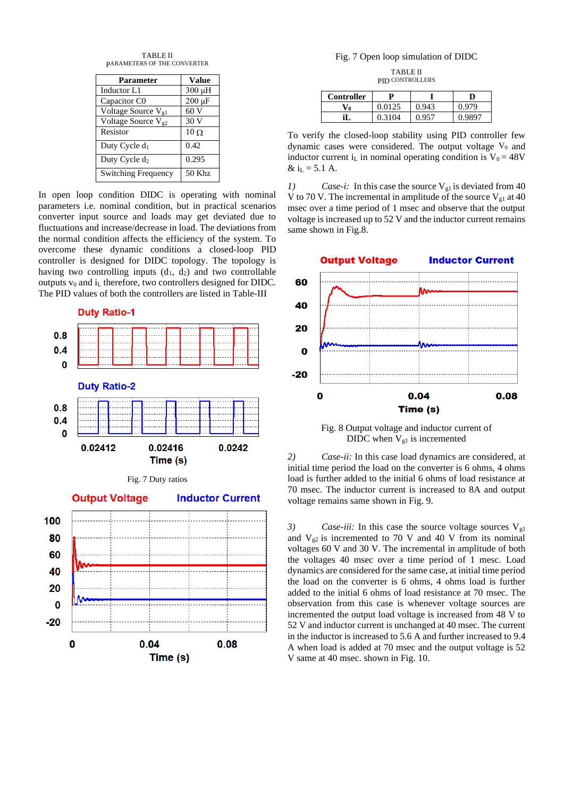| <b>TABLE II</b>             |
|-----------------------------|
| PARAMETERS OF THE CONVERTER |

| <b>Parameter</b>               | <b>Value</b> |
|--------------------------------|--------------|
| Inductor L1                    | 300 µH       |
| Capacitor C0                   | $200 \mu F$  |
| Voltage Source V <sub>g1</sub> | 60 V         |
| Voltage Source V <sub>g2</sub> | 30 V         |
| Resistor                       | $10 \Omega$  |
| Duty Cycle $d_1$               | 0.42         |
| Duty Cycle d <sub>2</sub>      | 0.295        |
| <b>Switching Frequency</b>     | 50 Khz       |

In open loop condition DIDC is operating with nominal parameters i.e. nominal condition, but in practical scenarios converter input source and loads may get deviated due to fluctuations and increase/decrease in load. The deviations from the normal condition affects the efficiency of the system. To overcome these dynamic conditions a closed-loop PID controller is designed for DIDC topology. The topology is having two controlling inputs  $(d_1, d_2)$  and two controllable outputs  $v_0$  and  $i_L$  therefore, two controllers designed for DIDC. The PID values of both the controllers are listed in Table-III

**Duty Ratio-1** 







# Fig. 7 Open loop simulation of DIDC

TABLE II PID CONTROLLERS

| Controller  |        |       |        |
|-------------|--------|-------|--------|
| $\Lambda^0$ | 0.0125 | 0.943 | 0.979  |
|             | 0.3104 | 0.957 | 0.9897 |

To verify the closed-loop stability using PID controller few dynamic cases were considered. The output voltage  $V_0$  and inductor current i<sub>L</sub> in nominal operating condition is  $V_0 = 48V$  $& \text{ iL} = 5.1 \text{ A}.$ 

*1*) *Case-i:* In this case the source  $V_{gl}$  is deviated from 40 V to 70 V. The incremental in amplitude of the source  $V_{gl}$  at 40 msec over a time period of 1 msec and observe that the output voltage is increased up to 52 V and the inductor current remains same shown in Fig.8.



Fig. 8 Output voltage and inductor current of DIDC when  $V_{g1}$  is incremented

*2) Case-ii:* In this case load dynamics are considered, at initial time period the load on the converter is 6 ohms, 4 ohms load is further added to the initial 6 ohms of load resistance at 70 msec. The inductor current is increased to 8A and output voltage remains same shown in Fig. 9.

*3*) *Case-iii:* In this case the source voltage sources V<sub>g1</sub> and  $V_{g2}$  is incremented to 70 V and 40 V from its nominal voltages 60 V and 30 V. The incremental in amplitude of both the voltages 40 msec over a time period of 1 mesc. Load dynamics are considered for the same case, at initial time period the load on the converter is 6 ohms, 4 ohms load is further added to the initial 6 ohms of load resistance at 70 msec. The observation from this case is whenever voltage sources are incremented the output load voltage is increased from 48 V to 52 V and inductor current is unchanged at 40 msec. The current in the inductor is increased to 5.6 A and further increased to 9.4 A when load is added at 70 msec and the output voltage is 52 V same at 40 msec. shown in Fig. 10.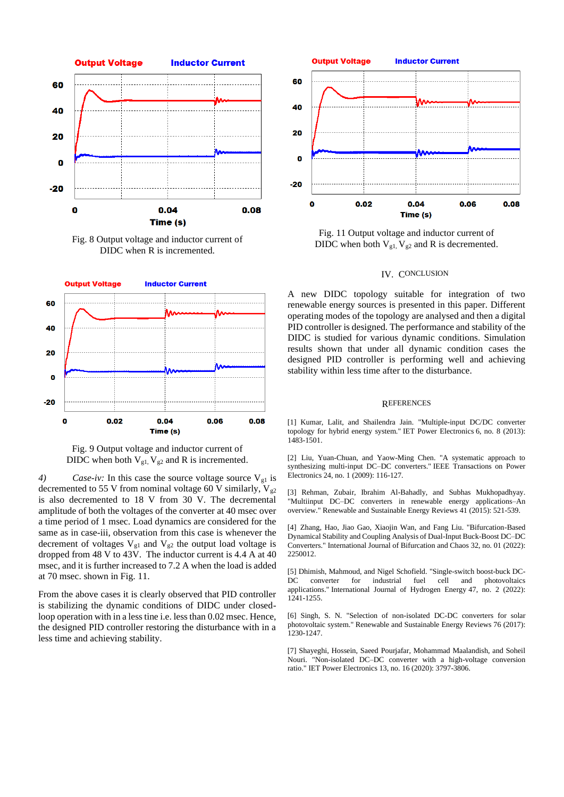

Fig. 8 Output voltage and inductor current of DIDC when R is incremented.



Fig. 9 Output voltage and inductor current of DIDC when both  $V_{gl}$ ,  $V_{g2}$  and R is incremented.

*4) Case-iv:* In this case the source voltage source  $V_{g1}$  is decremented to 55 V from nominal voltage 60 V similarly,  $V_{g2}$ is also decremented to 18 V from 30 V. The decremental amplitude of both the voltages of the converter at 40 msec over a time period of 1 msec. Load dynamics are considered for the same as in case-iii, observation from this case is whenever the decrement of voltages  $V_{g1}$  and  $V_{g2}$  the output load voltage is dropped from 48 V to 43V. The inductor current is 4.4 A at 40 msec, and it is further increased to 7.2 A when the load is added at 70 msec. shown in Fig. 11.

From the above cases it is clearly observed that PID controller is stabilizing the dynamic conditions of DIDC under closedloop operation with in a less tine i.e. less than 0.02 msec. Hence, the designed PID controller restoring the disturbance with in a less time and achieving stability.



Fig. 11 Output voltage and inductor current of DIDC when both  $V_{g1}$ ,  $V_{g2}$  and R is decremented.

# IV. CONCLUSION

A new DIDC topology suitable for integration of two renewable energy sources is presented in this paper. Different operating modes of the topology are analysed and then a digital PID controller is designed. The performance and stability of the DIDC is studied for various dynamic conditions. Simulation results shown that under all dynamic condition cases the designed PID controller is performing well and achieving stability within less time after to the disturbance.

#### **REFERENCES**

[1] Kumar, Lalit, and Shailendra Jain. "Multiple-input DC/DC converter topology for hybrid energy system." IET Power Electronics 6, no. 8 (2013): 1483-1501.

[2] Liu, Yuan-Chuan, and Yaow-Ming Chen. "A systematic approach to synthesizing multi-input DC–DC converters." IEEE Transactions on Power Electronics 24, no. 1 (2009): 116-127.

[3] Rehman, Zubair, Ibrahim Al-Bahadly, and Subhas Mukhopadhyay. "Multiinput DC–DC converters in renewable energy applications–An overview." Renewable and Sustainable Energy Reviews 41 (2015): 521-539.

[4] Zhang, Hao, Jiao Gao, Xiaojin Wan, and Fang Liu. "Bifurcation-Based Dynamical Stability and Coupling Analysis of Dual-Input Buck-Boost DC–DC Converters." International Journal of Bifurcation and Chaos 32, no. 01 (2022): 2250012.

[5] Dhimish, Mahmoud, and Nigel Schofield. "Single-switch boost-buck DC-DC converter for industrial fuel cell and photovoltaics applications." International Journal of Hydrogen Energy 47, no. 2 (2022): 1241-1255.

[6] Singh, S. N. "Selection of non-isolated DC-DC converters for solar photovoltaic system." Renewable and Sustainable Energy Reviews 76 (2017): 1230-1247.

[7] Shayeghi, Hossein, Saeed Pourjafar, Mohammad Maalandish, and Soheil Nouri. "Non-isolated DC–DC converter with a high-voltage conversion ratio." IET Power Electronics 13, no. 16 (2020): 3797-3806.